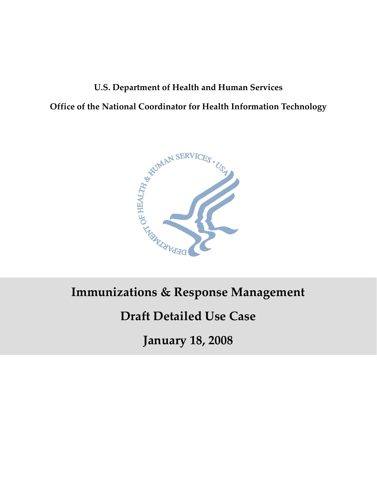# **U.S. Department of Health and Human Services Office of the National Coordinator for Health Information Technology**



# **Immunizations & Response Management**

# **Draft Detailed Use Case**

**January 18, 2008**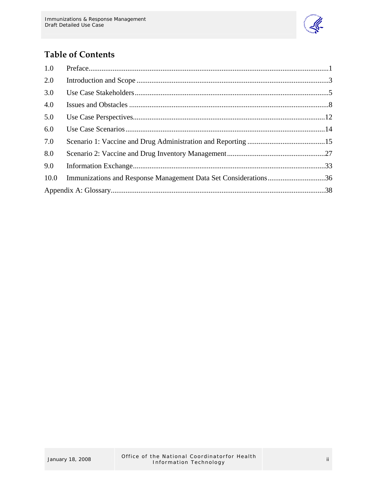

## **Table of Contents**

| 1.0  |                                                                 |  |
|------|-----------------------------------------------------------------|--|
| 2.0  |                                                                 |  |
| 3.0  |                                                                 |  |
| 4.0  |                                                                 |  |
| 5.0  |                                                                 |  |
| 6.0  |                                                                 |  |
| 7.0  |                                                                 |  |
| 8.0  |                                                                 |  |
| 9.0  |                                                                 |  |
| 10.0 | Immunizations and Response Management Data Set Considerations36 |  |
|      |                                                                 |  |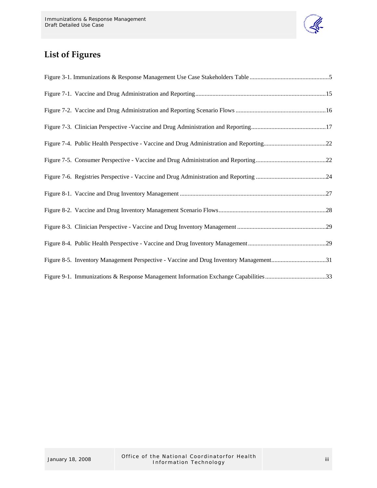

## **List of Figures**

| Figure 8-5. Inventory Management Perspective - Vaccine and Drug Inventory Management31 |  |
|----------------------------------------------------------------------------------------|--|
| Figure 9-1. Immunizations & Response Management Information Exchange Capabilities33    |  |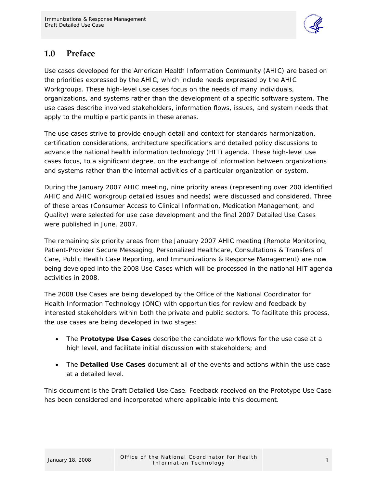

## <span id="page-3-0"></span>**1.0 Preface**

Use cases developed for the American Health Information Community (AHIC) are based on the priorities expressed by the AHIC, which include needs expressed by the AHIC Workgroups. These high-level use cases focus on the needs of many individuals, organizations, and systems rather than the development of a specific software system. The use cases describe involved stakeholders, information flows, issues, and system needs that apply to the multiple participants in these arenas.

The use cases strive to provide enough detail and context for standards harmonization, certification considerations, architecture specifications and detailed policy discussions to advance the national health information technology (HIT) agenda. These high-level use cases focus, to a significant degree, on the exchange of information between organizations and systems rather than the internal activities of a particular organization or system.

During the January 2007 AHIC meeting, nine priority areas (representing over 200 identified AHIC and AHIC workgroup detailed issues and needs) were discussed and considered. Three of these areas (Consumer Access to Clinical Information, Medication Management, and Quality) were selected for use case development and the final 2007 Detailed Use Cases were published in June, 2007.

The remaining six priority areas from the January 2007 AHIC meeting (Remote Monitoring, Patient-Provider Secure Messaging, Personalized Healthcare, Consultations & Transfers of Care, Public Health Case Reporting, and Immunizations & Response Management) are now being developed into the 2008 Use Cases which will be processed in the national HIT agenda activities in 2008.

The 2008 Use Cases are being developed by the Office of the National Coordinator for Health Information Technology (ONC) with opportunities for review and feedback by interested stakeholders within both the private and public sectors. To facilitate this process, the use cases are being developed in two stages:

- The **Prototype Use Cases** describe the candidate workflows for the use case at a high level, and facilitate initial discussion with stakeholders; and
- The **Detailed Use Cases** document all of the events and actions within the use case at a detailed level.

This document is the Draft Detailed Use Case. Feedback received on the Prototype Use Case has been considered and incorporated where applicable into this document.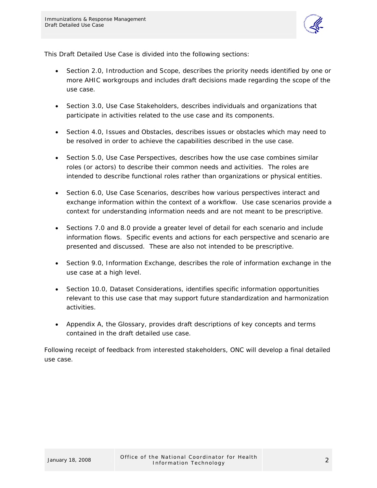

This Draft Detailed Use Case is divided into the following sections:

- Section 2.0, Introduction and Scope, describes the priority needs identified by one or more AHIC workgroups and includes draft decisions made regarding the scope of the use case.
- Section 3.0, Use Case Stakeholders, describes individuals and organizations that participate in activities related to the use case and its components.
- Section 4.0, Issues and Obstacles, describes issues or obstacles which may need to be resolved in order to achieve the capabilities described in the use case.
- Section 5.0, Use Case Perspectives, describes how the use case combines similar roles (or actors) to describe their common needs and activities. The roles are intended to describe functional roles rather than organizations or physical entities.
- Section 6.0, Use Case Scenarios, describes how various perspectives interact and exchange information within the context of a workflow. Use case scenarios provide a context for understanding information needs and are not meant to be prescriptive.
- Sections 7.0 and 8.0 provide a greater level of detail for each scenario and include information flows. Specific events and actions for each perspective and scenario are presented and discussed. These are also not intended to be prescriptive.
- Section 9.0, Information Exchange, describes the role of information exchange in the use case at a high level.
- Section 10.0, Dataset Considerations, identifies specific information opportunities relevant to this use case that may support future standardization and harmonization activities.
- Appendix A, the Glossary, provides draft descriptions of key concepts and terms contained in the draft detailed use case.

Following receipt of feedback from interested stakeholders, ONC will develop a final detailed use case.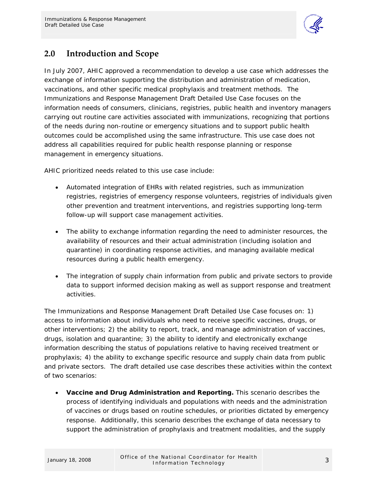

## <span id="page-5-0"></span>**2.0 Introduction and Scope**

In July 2007, AHIC approved a recommendation to develop a use case which addresses the exchange of information supporting the distribution and administration of medication, vaccinations, and other specific medical prophylaxis and treatment methods. The Immunizations and Response Management Draft Detailed Use Case focuses on the information needs of consumers, clinicians, registries, public health and inventory managers carrying out routine care activities associated with immunizations, recognizing that portions of the needs during non-routine or emergency situations and to support public health outcomes could be accomplished using the same infrastructure. This use case does not address all capabilities required for public health response planning or response management in emergency situations.

AHIC prioritized needs related to this use case include:

- Automated integration of EHRs with related registries, such as immunization registries, registries of emergency response volunteers, registries of individuals given other prevention and treatment interventions, and registries supporting long-term follow-up will support case management activities.
- The ability to exchange information regarding the need to administer resources, the availability of resources and their actual administration (including isolation and quarantine) in coordinating response activities, and managing available medical resources during a public health emergency.
- The integration of supply chain information from public and private sectors to provide data to support informed decision making as well as support response and treatment activities.

The Immunizations and Response Management Draft Detailed Use Case focuses on: 1) access to information about individuals who need to receive specific vaccines, drugs, or other interventions; 2) the ability to report, track, and manage administration of vaccines, drugs, isolation and quarantine; 3) the ability to identify and electronically exchange information describing the status of populations relative to having received treatment or prophylaxis; 4) the ability to exchange specific resource and supply chain data from public and private sectors. The draft detailed use case describes these activities within the context of two scenarios:

• **Vaccine and Drug Administration and Reporting.** This scenario describes the process of identifying individuals and populations with needs and the administration of vaccines or drugs based on routine schedules, or priorities dictated by emergency response. Additionally, this scenario describes the exchange of data necessary to support the administration of prophylaxis and treatment modalities, and the supply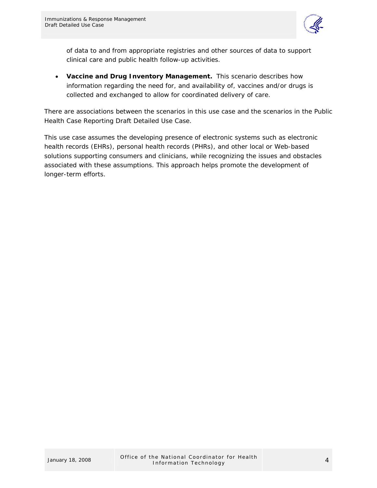

of data to and from appropriate registries and other sources of data to support clinical care and public health follow-up activities.

• **Vaccine and Drug Inventory Management.** This scenario describes how information regarding the need for, and availability of, vaccines and/or drugs is collected and exchanged to allow for coordinated delivery of care.

There are associations between the scenarios in this use case and the scenarios in the Public Health Case Reporting Draft Detailed Use Case.

This use case assumes the developing presence of electronic systems such as electronic health records (EHRs), personal health records (PHRs), and other local or Web-based solutions supporting consumers and clinicians, while recognizing the issues and obstacles associated with these assumptions. This approach helps promote the development of longer-term efforts.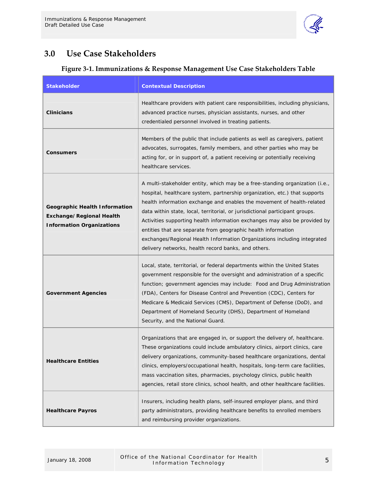

## <span id="page-7-0"></span>**3.0 Use Case Stakeholders**

## **Figure 3‐1. Immunizations & Response Management Use Case Stakeholders Table**

| <b>Stakeholder</b>                                                                                   | <b>Contextual Description</b>                                                                                                                                                                                                                                                                                                                                                                                                                                                                                                                                                                          |  |
|------------------------------------------------------------------------------------------------------|--------------------------------------------------------------------------------------------------------------------------------------------------------------------------------------------------------------------------------------------------------------------------------------------------------------------------------------------------------------------------------------------------------------------------------------------------------------------------------------------------------------------------------------------------------------------------------------------------------|--|
| Clinicians                                                                                           | Healthcare providers with patient care responsibilities, including physicians,<br>advanced practice nurses, physician assistants, nurses, and other<br>credentialed personnel involved in treating patients.                                                                                                                                                                                                                                                                                                                                                                                           |  |
| <b>Consumers</b>                                                                                     | Members of the public that include patients as well as caregivers, patient<br>advocates, surrogates, family members, and other parties who may be<br>acting for, or in support of, a patient receiving or potentially receiving<br>healthcare services.                                                                                                                                                                                                                                                                                                                                                |  |
| <b>Geographic Health Information</b><br>Exchange/Regional Health<br><b>Information Organizations</b> | A multi-stakeholder entity, which may be a free-standing organization (i.e.,<br>hospital, healthcare system, partnership organization, etc.) that supports<br>health information exchange and enables the movement of health-related<br>data within state, local, territorial, or jurisdictional participant groups.<br>Activities supporting health information exchanges may also be provided by<br>entities that are separate from geographic health information<br>exchanges/Regional Health Information Organizations including integrated<br>delivery networks, health record banks, and others. |  |
| <b>Government Agencies</b>                                                                           | Local, state, territorial, or federal departments within the United States<br>government responsible for the oversight and administration of a specific<br>function; government agencies may include: Food and Drug Administration<br>(FDA), Centers for Disease Control and Prevention (CDC), Centers for<br>Medicare & Medicaid Services (CMS), Department of Defense (DoD), and<br>Department of Homeland Security (DHS), Department of Homeland<br>Security, and the National Guard.                                                                                                               |  |
| <b>Healthcare Entities</b>                                                                           | Organizations that are engaged in, or support the delivery of, healthcare.<br>These organizations could include ambulatory clinics, airport clinics, care<br>delivery organizations, community-based healthcare organizations, dental<br>clinics, employers/occupational health, hospitals, long-term care facilities,<br>mass vaccination sites, pharmacies, psychology clinics, public health<br>agencies, retail store clinics, school health, and other healthcare facilities.                                                                                                                     |  |
| <b>Healthcare Payros</b>                                                                             | Insurers, including health plans, self-insured employer plans, and third<br>party administrators, providing healthcare benefits to enrolled members<br>and reimbursing provider organizations.                                                                                                                                                                                                                                                                                                                                                                                                         |  |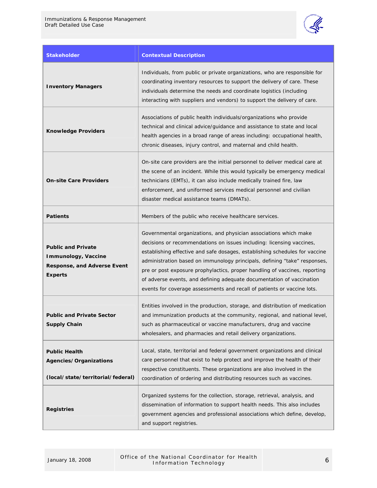

| <b>Stakeholder</b>                                                                                | <b>Contextual Description</b>                                                                                                                                                                                                                                                                                                                                                                                                                                                                                                            |
|---------------------------------------------------------------------------------------------------|------------------------------------------------------------------------------------------------------------------------------------------------------------------------------------------------------------------------------------------------------------------------------------------------------------------------------------------------------------------------------------------------------------------------------------------------------------------------------------------------------------------------------------------|
| <b>Inventory Managers</b>                                                                         | Individuals, from public or private organizations, who are responsible for<br>coordinating inventory resources to support the delivery of care. These<br>individuals determine the needs and coordinate logistics (including<br>interacting with suppliers and vendors) to support the delivery of care.                                                                                                                                                                                                                                 |
| <b>Knowledge Providers</b>                                                                        | Associations of public health individuals/organizations who provide<br>technical and clinical advice/quidance and assistance to state and local<br>health agencies in a broad range of areas including: occupational health,<br>chronic diseases, injury control, and maternal and child health.                                                                                                                                                                                                                                         |
| <b>On-site Care Providers</b>                                                                     | On-site care providers are the initial personnel to deliver medical care at<br>the scene of an incident. While this would typically be emergency medical<br>technicians (EMTs), it can also include medically trained fire, law<br>enforcement, and uniformed services medical personnel and civilian<br>disaster medical assistance teams (DMATs).                                                                                                                                                                                      |
| <b>Patients</b>                                                                                   | Members of the public who receive healthcare services.                                                                                                                                                                                                                                                                                                                                                                                                                                                                                   |
| <b>Public and Private</b><br>Immunology, Vaccine<br>Response, and Adverse Event<br><b>Experts</b> | Governmental organizations, and physician associations which make<br>decisions or recommendations on issues including: licensing vaccines,<br>establishing effective and safe dosages, establishing schedules for vaccine<br>administration based on immunology principals, defining "take" responses,<br>pre or post exposure prophylactics, proper handling of vaccines, reporting<br>of adverse events, and defining adequate documentation of vaccination<br>events for coverage assessments and recall of patients or vaccine lots. |
| <b>Public and Private Sector</b><br><b>Supply Chain</b>                                           | Entities involved in the production, storage, and distribution of medication<br>and immunization products at the community, regional, and national level,<br>such as pharmaceutical or vaccine manufacturers, drug and vaccine<br>wholesalers, and pharmacies and retail delivery organizations.                                                                                                                                                                                                                                         |
| <b>Public Health</b><br>Agencies/Organizations<br>(local/state/territorial/federal)               | Local, state, territorial and federal government organizations and clinical<br>care personnel that exist to help protect and improve the health of their<br>respective constituents. These organizations are also involved in the<br>coordination of ordering and distributing resources such as vaccines.                                                                                                                                                                                                                               |
| <b>Registries</b>                                                                                 | Organized systems for the collection, storage, retrieval, analysis, and<br>dissemination of information to support health needs. This also includes<br>government agencies and professional associations which define, develop,<br>and support registries.                                                                                                                                                                                                                                                                               |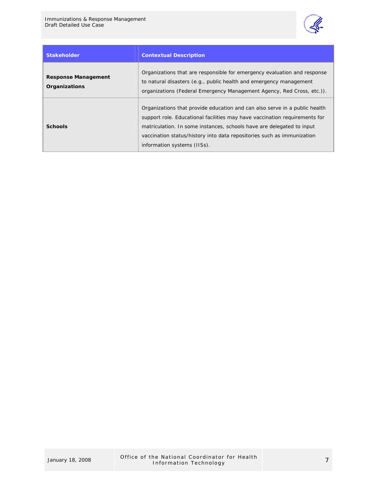

| <b>Stakeholder</b>                          | <b>Contextual Description</b>                                                                                                                                                                                                                                                                                                              |
|---------------------------------------------|--------------------------------------------------------------------------------------------------------------------------------------------------------------------------------------------------------------------------------------------------------------------------------------------------------------------------------------------|
| <b>Response Management</b><br>Organizations | Organizations that are responsible for emergency evaluation and response<br>to natural disasters (e.g., public health and emergency management<br>organizations (Federal Emergency Management Agency, Red Cross, etc.)).                                                                                                                   |
| <b>Schools</b>                              | Organizations that provide education and can also serve in a public health<br>support role. Educational facilities may have vaccination requirements for<br>matriculation. In some instances, schools have are delegated to input<br>vaccination status/history into data repositories such as immunization<br>information systems (IISs). |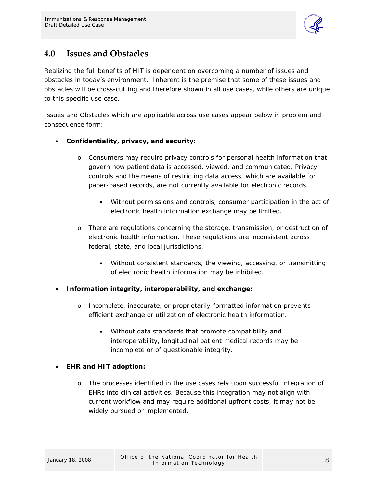

## <span id="page-10-0"></span>**4.0 Issues and Obstacles**

Realizing the full benefits of HIT is dependent on overcoming a number of issues and obstacles in today's environment. Inherent is the premise that some of these issues and obstacles will be cross-cutting and therefore shown in all use cases, while others are unique to this specific use case.

Issues and Obstacles which are applicable across use cases appear below in problem and consequence form:

## • **Confidentiality, privacy, and security:**

- o Consumers may require privacy controls for personal health information that govern how patient data is accessed, viewed, and communicated. Privacy controls and the means of restricting data access, which are available for paper-based records, are not currently available for electronic records.
	- Without permissions and controls, consumer participation in the act of electronic health information exchange may be limited.
- o There are regulations concerning the storage, transmission, or destruction of electronic health information. These regulations are inconsistent across federal, state, and local jurisdictions.
	- Without consistent standards, the viewing, accessing, or transmitting of electronic health information may be inhibited.

#### • **Information integrity, interoperability, and exchange:**

- o Incomplete, inaccurate, or proprietarily-formatted information prevents efficient exchange or utilization of electronic health information.
	- Without data standards that promote compatibility and interoperability, longitudinal patient medical records may be incomplete or of questionable integrity.

#### • **EHR and HIT adoption:**

o The processes identified in the use cases rely upon successful integration of EHRs into clinical activities. Because this integration may not align with current workflow and may require additional upfront costs, it may not be widely pursued or implemented.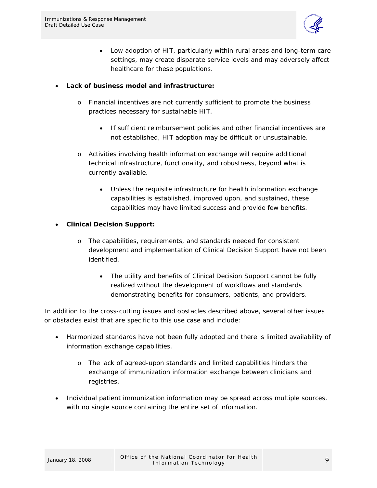

- Low adoption of HIT, particularly within rural areas and long-term care settings, may create disparate service levels and may adversely affect healthcare for these populations.
- **Lack of business model and infrastructure:** 
	- o Financial incentives are not currently sufficient to promote the business practices necessary for sustainable HIT.
		- If sufficient reimbursement policies and other financial incentives are not established, HIT adoption may be difficult or unsustainable.
	- o Activities involving health information exchange will require additional technical infrastructure, functionality, and robustness, beyond what is currently available.
		- Unless the requisite infrastructure for health information exchange capabilities is established, improved upon, and sustained, these capabilities may have limited success and provide few benefits.
- **Clinical Decision Support:** 
	- o The capabilities, requirements, and standards needed for consistent development and implementation of Clinical Decision Support have not been identified.
		- The utility and benefits of Clinical Decision Support cannot be fully realized without the development of workflows and standards demonstrating benefits for consumers, patients, and providers.

In addition to the cross-cutting issues and obstacles described above, several other issues or obstacles exist that are specific to this use case and include:

- Harmonized standards have not been fully adopted and there is limited availability of information exchange capabilities.
	- o The lack of agreed-upon standards and limited capabilities hinders the exchange of immunization information exchange between clinicians and registries.
- Individual patient immunization information may be spread across multiple sources, with no single source containing the entire set of information.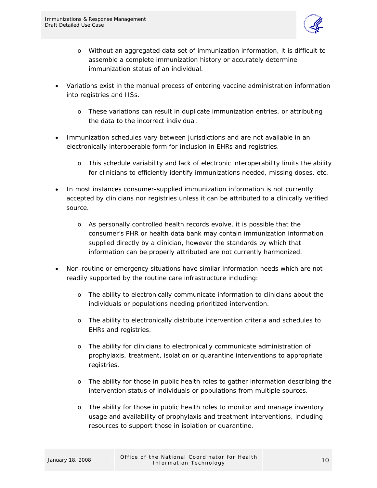

- o Without an aggregated data set of immunization information, it is difficult to assemble a complete immunization history or accurately determine immunization status of an individual.
- Variations exist in the manual process of entering vaccine administration information into registries and IISs.
	- o These variations can result in duplicate immunization entries, or attributing the data to the incorrect individual.
- Immunization schedules vary between jurisdictions and are not available in an electronically interoperable form for inclusion in EHRs and registries.
	- o This schedule variability and lack of electronic interoperability limits the ability for clinicians to efficiently identify immunizations needed, missing doses, etc.
- In most instances consumer-supplied immunization information is not currently accepted by clinicians nor registries unless it can be attributed to a clinically verified source.
	- o As personally controlled health records evolve, it is possible that the consumer's PHR or health data bank may contain immunization information supplied directly by a clinician, however the standards by which that information can be properly attributed are not currently harmonized.
- Non-routine or emergency situations have similar information needs which are not readily supported by the routine care infrastructure including:
	- o The ability to electronically communicate information to clinicians about the individuals or populations needing prioritized intervention.
	- o The ability to electronically distribute intervention criteria and schedules to EHRs and registries.
	- o The ability for clinicians to electronically communicate administration of prophylaxis, treatment, isolation or quarantine interventions to appropriate registries.
	- o The ability for those in public health roles to gather information describing the intervention status of individuals or populations from multiple sources.
	- o The ability for those in public health roles to monitor and manage inventory usage and availability of prophylaxis and treatment interventions, including resources to support those in isolation or quarantine.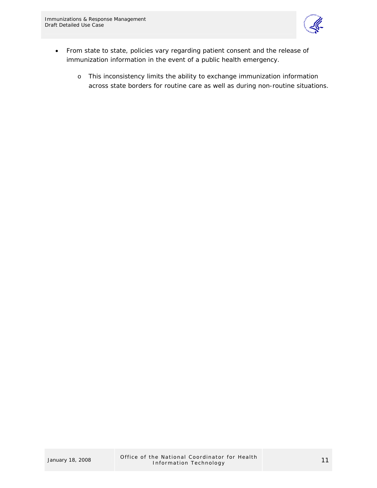

- From state to state, policies vary regarding patient consent and the release of immunization information in the event of a public health emergency.
	- o This inconsistency limits the ability to exchange immunization information across state borders for routine care as well as during non-routine situations.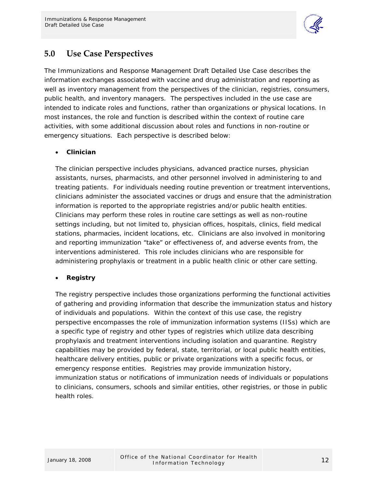

## <span id="page-14-0"></span>**5.0 Use Case Perspectives**

The Immunizations and Response Management Draft Detailed Use Case describes the information exchanges associated with vaccine and drug administration and reporting as well as inventory management from the perspectives of the clinician, registries, consumers, public health, and inventory managers. The perspectives included in the use case are intended to indicate roles and functions, rather than organizations or physical locations. In most instances, the role and function is described within the context of routine care activities, with some additional discussion about roles and functions in non-routine or emergency situations. Each perspective is described below:

## • **Clinician**

The clinician perspective includes physicians, advanced practice nurses, physician assistants, nurses, pharmacists, and other personnel involved in administering to and treating patients. For individuals needing routine prevention or treatment interventions, clinicians administer the associated vaccines or drugs and ensure that the administration information is reported to the appropriate registries and/or public health entities. Clinicians may perform these roles in routine care settings as well as non-routine settings including, but not limited to, physician offices, hospitals, clinics, field medical stations, pharmacies, incident locations, etc. Clinicians are also involved in monitoring and reporting immunization "take" or effectiveness of, and adverse events from, the interventions administered. This role includes clinicians who are responsible for administering prophylaxis or treatment in a public health clinic or other care setting.

#### • **Registry**

The registry perspective includes those organizations performing the functional activities of gathering and providing information that describe the immunization status and history of individuals and populations. Within the context of this use case, the registry perspective encompasses the role of immunization information systems (IISs) which are a specific type of registry and other types of registries which utilize data describing prophylaxis and treatment interventions including isolation and quarantine. Registry capabilities may be provided by federal, state, territorial, or local public health entities, healthcare delivery entities, public or private organizations with a specific focus, or emergency response entities. Registries may provide immunization history, immunization status or notifications of immunization needs of individuals or populations to clinicians, consumers, schools and similar entities, other registries, or those in public health roles.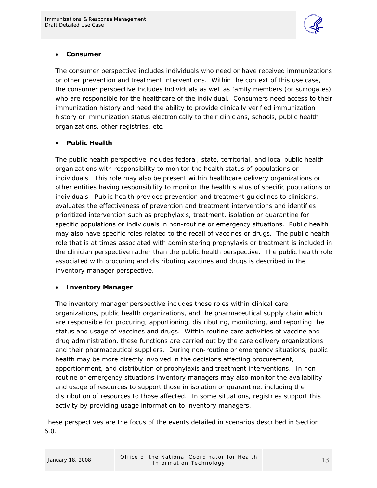

#### • **Consumer**

The consumer perspective includes individuals who need or have received immunizations or other prevention and treatment interventions. Within the context of this use case, the consumer perspective includes individuals as well as family members (or surrogates) who are responsible for the healthcare of the individual. Consumers need access to their immunization history and need the ability to provide clinically verified immunization history or immunization status electronically to their clinicians, schools, public health organizations, other registries, etc.

## • **Public Health**

The public health perspective includes federal, state, territorial, and local public health organizations with responsibility to monitor the health status of populations or individuals. This role may also be present within healthcare delivery organizations or other entities having responsibility to monitor the health status of specific populations or individuals. Public health provides prevention and treatment guidelines to clinicians, evaluates the effectiveness of prevention and treatment interventions and identifies prioritized intervention such as prophylaxis, treatment, isolation or quarantine for specific populations or individuals in non-routine or emergency situations. Public health may also have specific roles related to the recall of vaccines or drugs. The public health role that is at times associated with administering prophylaxis or treatment is included in the clinician perspective rather than the public health perspective. The public health role associated with procuring and distributing vaccines and drugs is described in the inventory manager perspective.

#### • **Inventory Manager**

The inventory manager perspective includes those roles within clinical care organizations, public health organizations, and the pharmaceutical supply chain which are responsible for procuring, apportioning, distributing, monitoring, and reporting the status and usage of vaccines and drugs. Within routine care activities of vaccine and drug administration, these functions are carried out by the care delivery organizations and their pharmaceutical suppliers. During non-routine or emergency situations, public health may be more directly involved in the decisions affecting procurement, apportionment, and distribution of prophylaxis and treatment interventions. In nonroutine or emergency situations inventory managers may also monitor the availability and usage of resources to support those in isolation or quarantine, including the distribution of resources to those affected. In some situations, registries support this activity by providing usage information to inventory managers.

These perspectives are the focus of the events detailed in scenarios described in Section 6.0.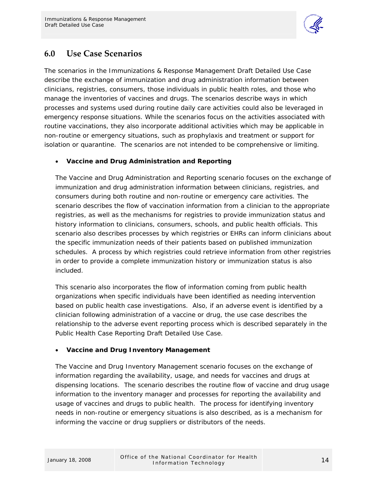

## <span id="page-16-0"></span>**6.0 Use Case Scenarios**

The scenarios in the Immunizations & Response Management Draft Detailed Use Case describe the exchange of immunization and drug administration information between clinicians, registries, consumers, those individuals in public health roles, and those who manage the inventories of vaccines and drugs. The scenarios describe ways in which processes and systems used during routine daily care activities could also be leveraged in emergency response situations. While the scenarios focus on the activities associated with routine vaccinations, they also incorporate additional activities which may be applicable in non-routine or emergency situations, such as prophylaxis and treatment or support for isolation or quarantine. The scenarios are not intended to be comprehensive or limiting.

## • **Vaccine and Drug Administration and Reporting**

The Vaccine and Drug Administration and Reporting scenario focuses on the exchange of immunization and drug administration information between clinicians, registries, and consumers during both routine and non-routine or emergency care activities. The scenario describes the flow of vaccination information from a clinician to the appropriate registries, as well as the mechanisms for registries to provide immunization status and history information to clinicians, consumers, schools, and public health officials. This scenario also describes processes by which registries or EHRs can inform clinicians about the specific immunization needs of their patients based on published immunization schedules. A process by which registries could retrieve information from other registries in order to provide a complete immunization history or immunization status is also included.

This scenario also incorporates the flow of information coming from public health organizations when specific individuals have been identified as needing intervention based on public health case investigations. Also, if an adverse event is identified by a clinician following administration of a vaccine or drug, the use case describes the relationship to the adverse event reporting process which is described separately in the Public Health Case Reporting Draft Detailed Use Case.

#### • **Vaccine and Drug Inventory Management**

The Vaccine and Drug Inventory Management scenario focuses on the exchange of information regarding the availability, usage, and needs for vaccines and drugs at dispensing locations. The scenario describes the routine flow of vaccine and drug usage information to the inventory manager and processes for reporting the availability and usage of vaccines and drugs to public health. The process for identifying inventory needs in non-routine or emergency situations is also described, as is a mechanism for informing the vaccine or drug suppliers or distributors of the needs.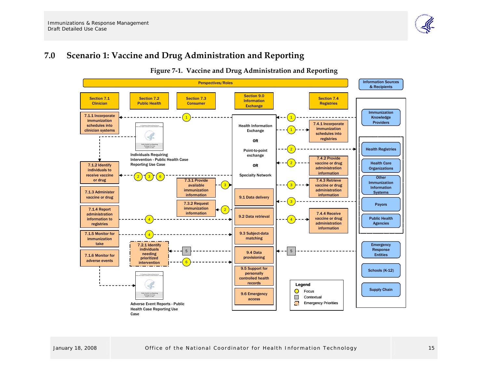#### **7.0Scenario 1: Vaccine and Drug Administration and Reporting**

<span id="page-17-0"></span>

**Figure <sup>7</sup>‐1. Vaccine and Drug Administration and Reporting**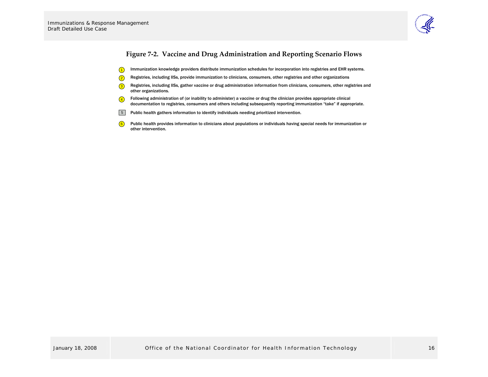

## **Figure <sup>7</sup>‐2. Vaccine and Drug Administration and Reporting Scenario Flows**

- $\bigcap$ Immunization knowledge providers distribute immunization schedules for incorporation into registries and EHR systems.
- $\circled{2}$ Registries, including IISs, provide immunization to clinicians, consumers, other registries and other organizations
- 3 Registries, including IISs, gather vaccine or drug administration information from clinicians, consumers, other registries and other organizations.
- 4 Following administration of (or inability to administer) a vaccine or drug the clinician provides appropriate clinical documentation to registries, consumers and others including subsequently reporting immunization "take" if appropriate.
- 5 Public health gathers information to identify individuals needing prioritized intervention.
- <span id="page-18-0"></span>6 Public health provides information to clinicians about populations or individuals having special needs for immunization or other intervention.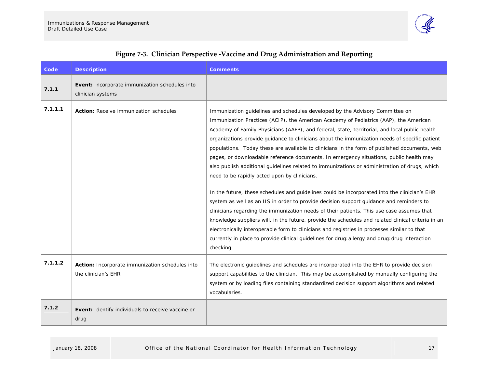

<span id="page-19-0"></span>

| Code    | <b>Description</b>                                                     | <b>Comments</b>                                                                                                                                                                                                                                                                                                                                                                                                                                                                                                                                                                                                                                                                                                                                                                                                                                                                                                                                                                                                                                                                                                                                                                                                                                                                                                                |
|---------|------------------------------------------------------------------------|--------------------------------------------------------------------------------------------------------------------------------------------------------------------------------------------------------------------------------------------------------------------------------------------------------------------------------------------------------------------------------------------------------------------------------------------------------------------------------------------------------------------------------------------------------------------------------------------------------------------------------------------------------------------------------------------------------------------------------------------------------------------------------------------------------------------------------------------------------------------------------------------------------------------------------------------------------------------------------------------------------------------------------------------------------------------------------------------------------------------------------------------------------------------------------------------------------------------------------------------------------------------------------------------------------------------------------|
| 7.1.1   | Event: Incorporate immunization schedules into<br>clinician systems    |                                                                                                                                                                                                                                                                                                                                                                                                                                                                                                                                                                                                                                                                                                                                                                                                                                                                                                                                                                                                                                                                                                                                                                                                                                                                                                                                |
| 7.1.1.1 | Action: Receive immunization schedules                                 | Immunization guidelines and schedules developed by the Advisory Committee on<br>Immunization Practices (ACIP), the American Academy of Pediatrics (AAP), the American<br>Academy of Family Physicians (AAFP), and federal, state, territorial, and local public health<br>organizations provide guidance to clinicians about the immunization needs of specific patient<br>populations. Today these are available to clinicians in the form of published documents, web<br>pages, or downloadable reference documents. In emergency situations, public health may<br>also publish additional quidelines related to immunizations or administration of drugs, which<br>need to be rapidly acted upon by clinicians.<br>In the future, these schedules and guidelines could be incorporated into the clinician's EHR<br>system as well as an IIS in order to provide decision support guidance and reminders to<br>clinicians regarding the immunization needs of their patients. This use case assumes that<br>knowledge suppliers will, in the future, provide the schedules and related clinical criteria in an<br>electronically interoperable form to clinicians and registries in processes similar to that<br>currently in place to provide clinical guidelines for drug: allergy and drug: drug interaction<br>checking. |
| 7.1.1.2 | Action: Incorporate immunization schedules into<br>the clinician's EHR | The electronic quidelines and schedules are incorporated into the EHR to provide decision<br>support capabilities to the clinician. This may be accomplished by manually configuring the<br>system or by loading files containing standardized decision support algorithms and related<br>vocabularies.                                                                                                                                                                                                                                                                                                                                                                                                                                                                                                                                                                                                                                                                                                                                                                                                                                                                                                                                                                                                                        |
| 7.1.2   | Event: Identify individuals to receive vaccine or<br>drug              |                                                                                                                                                                                                                                                                                                                                                                                                                                                                                                                                                                                                                                                                                                                                                                                                                                                                                                                                                                                                                                                                                                                                                                                                                                                                                                                                |

## **Figure <sup>7</sup>‐3. Clinician Perspective ‐Vaccine and Drug Administration and Reporting**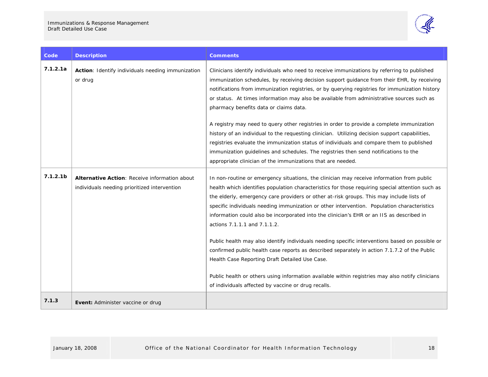

| Code                 | <b>Description</b>                                                                            | <b>Comments</b>                                                                                                                                                                                                                                                                                                                                                                                                                                                                                                                                                                                                                                                                                                                                                                                                                                                                                                                       |
|----------------------|-----------------------------------------------------------------------------------------------|---------------------------------------------------------------------------------------------------------------------------------------------------------------------------------------------------------------------------------------------------------------------------------------------------------------------------------------------------------------------------------------------------------------------------------------------------------------------------------------------------------------------------------------------------------------------------------------------------------------------------------------------------------------------------------------------------------------------------------------------------------------------------------------------------------------------------------------------------------------------------------------------------------------------------------------|
| 7.1.2.1a             | Action: Identify individuals needing immunization<br>or drug                                  | Clinicians identify individuals who need to receive immunizations by referring to published<br>immunization schedules, by receiving decision support quidance from their EHR, by receiving<br>notifications from immunization registries, or by guerying registries for immunization history<br>or status. At times information may also be available from administrative sources such as<br>pharmacy benefits data or claims data.                                                                                                                                                                                                                                                                                                                                                                                                                                                                                                   |
|                      |                                                                                               | A registry may need to query other registries in order to provide a complete immunization<br>history of an individual to the requesting clinician. Utilizing decision support capabilities,<br>registries evaluate the immunization status of individuals and compare them to published<br>immunization quidelines and schedules. The registries then send notifications to the<br>appropriate clinician of the immunizations that are needed.                                                                                                                                                                                                                                                                                                                                                                                                                                                                                        |
| 7.1.2.1 <sub>b</sub> | Alternative Action: Receive information about<br>individuals needing prioritized intervention | In non-routine or emergency situations, the clinician may receive information from public<br>health which identifies population characteristics for those requiring special attention such as<br>the elderly, emergency care providers or other at-risk groups. This may include lists of<br>specific individuals needing immunization or other intervention. Population characteristics<br>information could also be incorporated into the clinician's EHR or an IIS as described in<br>actions 7.1.1.1 and 7.1.1.2.<br>Public health may also identify individuals needing specific interventions based on possible or<br>confirmed public health case reports as described separately in action 7.1.7.2 of the Public<br>Health Case Reporting Draft Detailed Use Case.<br>Public health or others using information available within registries may also notify clinicians<br>of individuals affected by vaccine or drug recalls. |
| 7.1.3                | <b>Event:</b> Administer vaccine or drug                                                      |                                                                                                                                                                                                                                                                                                                                                                                                                                                                                                                                                                                                                                                                                                                                                                                                                                                                                                                                       |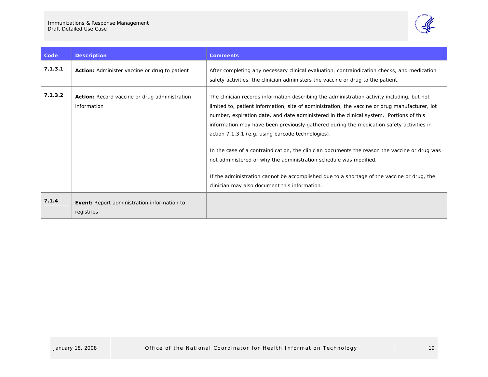

| Code    | <b>Description</b>                                           | <b>Comments</b>                                                                                                                                                                                                                                                                                                                                                                                                                                                                                                                                                                                                                                                                                                                                                |
|---------|--------------------------------------------------------------|----------------------------------------------------------------------------------------------------------------------------------------------------------------------------------------------------------------------------------------------------------------------------------------------------------------------------------------------------------------------------------------------------------------------------------------------------------------------------------------------------------------------------------------------------------------------------------------------------------------------------------------------------------------------------------------------------------------------------------------------------------------|
| 7.1.3.1 | Action: Administer vaccine or drug to patient                | After completing any necessary clinical evaluation, contraindication checks, and medication<br>safety activities, the clinician administers the vaccine or drug to the patient.                                                                                                                                                                                                                                                                                                                                                                                                                                                                                                                                                                                |
| 7.1.3.2 | Action: Record vaccine or drug administration<br>information | The clinician records information describing the administration activity including, but not<br>limited to, patient information, site of administration, the vaccine or drug manufacturer, lot<br>number, expiration date, and date administered in the clinical system. Portions of this<br>information may have been previously gathered during the medication safety activities in<br>action 7.1.3.1 (e.g. using barcode technologies).<br>In the case of a contraindication, the clinician documents the reason the vaccine or drug was<br>not administered or why the administration schedule was modified.<br>If the administration cannot be accomplished due to a shortage of the vaccine or drug, the<br>clinician may also document this information. |
| 7.1.4   | Event: Report administration information to<br>registries    |                                                                                                                                                                                                                                                                                                                                                                                                                                                                                                                                                                                                                                                                                                                                                                |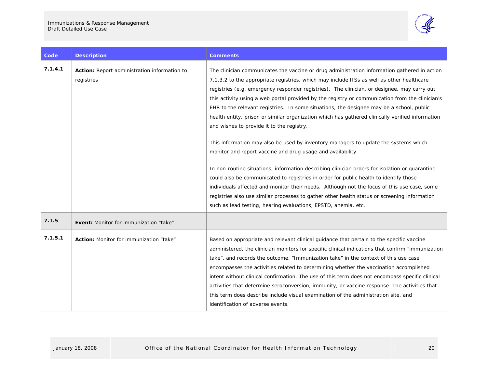

| Code    | <b>Description</b>                                         | Comments                                                                                                                                                                                                                                                                                                                                                                                                                                                                                                                                                                                                                                                                                                                                                                                                                                                                                                                                                                                                                                                                                                                                                                                                                                                   |
|---------|------------------------------------------------------------|------------------------------------------------------------------------------------------------------------------------------------------------------------------------------------------------------------------------------------------------------------------------------------------------------------------------------------------------------------------------------------------------------------------------------------------------------------------------------------------------------------------------------------------------------------------------------------------------------------------------------------------------------------------------------------------------------------------------------------------------------------------------------------------------------------------------------------------------------------------------------------------------------------------------------------------------------------------------------------------------------------------------------------------------------------------------------------------------------------------------------------------------------------------------------------------------------------------------------------------------------------|
| 7.1.4.1 | Action: Report administration information to<br>registries | The clinician communicates the vaccine or drug administration information gathered in action<br>7.1.3.2 to the appropriate registries, which may include IISs as well as other healthcare<br>registries (e.g. emergency responder registries). The clinician, or designee, may carry out<br>this activity using a web portal provided by the registry or communication from the clinician's<br>EHR to the relevant registries. In some situations, the designee may be a school, public<br>health entity, prison or similar organization which has gathered clinically verified information<br>and wishes to provide it to the registry.<br>This information may also be used by inventory managers to update the systems which<br>monitor and report vaccine and drug usage and availability.<br>In non-routine situations, information describing clinician orders for isolation or quarantine<br>could also be communicated to registries in order for public health to identify those<br>individuals affected and monitor their needs. Although not the focus of this use case, some<br>registries also use similar processes to gather other health status or screening information<br>such as lead testing, hearing evaluations, EPSTD, anemia, etc. |
| 7.1.5   | <b>Event:</b> Monitor for immunization "take"              |                                                                                                                                                                                                                                                                                                                                                                                                                                                                                                                                                                                                                                                                                                                                                                                                                                                                                                                                                                                                                                                                                                                                                                                                                                                            |
| 7.1.5.1 | Action: Monitor for immunization "take"                    | Based on appropriate and relevant clinical quidance that pertain to the specific vaccine<br>administered, the clinician monitors for specific clinical indications that confirm "immunization"<br>take", and records the outcome. "Immunization take" in the context of this use case<br>encompasses the activities related to determining whether the vaccination accomplished<br>intent without clinical confirmation. The use of this term does not encompass specific clinical<br>activities that determine seroconversion, immunity, or vaccine response. The activities that<br>this term does describe include visual examination of the administration site, and<br>identification of adverse events.                                                                                                                                                                                                                                                                                                                                                                                                                                                                                                                                              |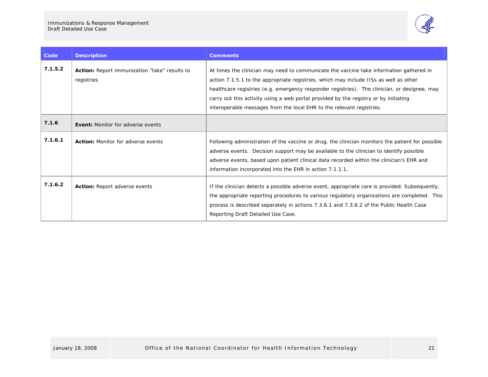J.



| Code    | <b>Description</b>                                          | <b>Comments</b>                                                                                                                                                                                                                                                                                                                                                                                                                                   |
|---------|-------------------------------------------------------------|---------------------------------------------------------------------------------------------------------------------------------------------------------------------------------------------------------------------------------------------------------------------------------------------------------------------------------------------------------------------------------------------------------------------------------------------------|
| 7.1.5.2 | Action: Report immunization "take" results to<br>registries | At times the clinician may need to communicate the vaccine take information gathered in<br>action 7.1.5.1 to the appropriate registries, which may include IISs as well as other<br>healthcare registries (e.g. emergency responder registries). The clinician, or designee, may<br>carry out this activity using a web portal provided by the registry or by initiating<br>interoperable messages from the local EHR to the relevant registries. |
| 7.1.6   | <b>Event:</b> Monitor for adverse events                    |                                                                                                                                                                                                                                                                                                                                                                                                                                                   |
| 7.1.6.1 | <b>Action:</b> Monitor for adverse events                   | Following administration of the vaccine or drug, the clinician monitors the patient for possible<br>adverse events. Decision support may be available to the clinician to identify possible<br>adverse events, based upon patient clinical data recorded within the clinician's EHR and<br>information incorporated into the EHR in action 7.1.1.1.                                                                                               |
| 7.1.6.2 | <b>Action: Report adverse events</b>                        | If the clinician detects a possible adverse event, appropriate care is provided. Subsequently,<br>the appropriate reporting procedures to various regulatory organizations are completed. This<br>process is described separately in actions 7.3.6.1 and 7.3.6.2 of the Public Health Case<br>Reporting Draft Detailed Use Case.                                                                                                                  |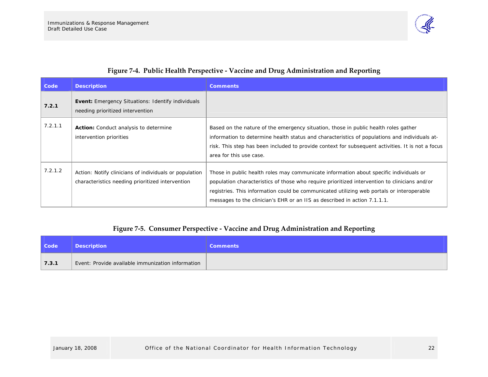7.2.1.2 Action: Notify clinicians of individuals or population

characteristics needing prioritized intervention

**7.2.1** 



Those in public health roles may communicate information about specific individuals or population characteristics of those who require prioritized intervention to clinicians and/or registries. This information could be communicated utilizing web portals or interoperable

messages to the clinician's EHR or an IIS as described in action 7.1.1.1.

|  | Figure 7-5. Consumer Perspective - Vaccine and Drug Administration and Reporting |
|--|----------------------------------------------------------------------------------|
|  |                                                                                  |
|  |                                                                                  |
|  |                                                                                  |

<span id="page-24-0"></span>

| <b>Code</b> | <b>Description</b>                                | <b>Comments</b> |
|-------------|---------------------------------------------------|-----------------|
| 7.3.1       | Event: Provide available immunization information |                 |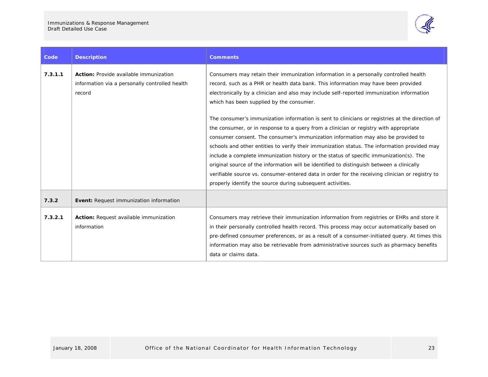

| Code    | <b>Description</b>                                                                                        | <b>Comments</b>                                                                                                                                                                                                                                                                                                                                                                                                                                                                                                                                                                                                                                                                                                                       |  |  |
|---------|-----------------------------------------------------------------------------------------------------------|---------------------------------------------------------------------------------------------------------------------------------------------------------------------------------------------------------------------------------------------------------------------------------------------------------------------------------------------------------------------------------------------------------------------------------------------------------------------------------------------------------------------------------------------------------------------------------------------------------------------------------------------------------------------------------------------------------------------------------------|--|--|
| 7.3.1.1 | <b>Action:</b> Provide available immunization<br>information via a personally controlled health<br>record | Consumers may retain their immunization information in a personally controlled health<br>record, such as a PHR or health data bank. This information may have been provided<br>electronically by a clinician and also may include self-reported immunization information<br>which has been supplied by the consumer.                                                                                                                                                                                                                                                                                                                                                                                                                  |  |  |
|         |                                                                                                           | The consumer's immunization information is sent to clinicians or registries at the direction of<br>the consumer, or in response to a query from a clinician or registry with appropriate<br>consumer consent. The consumer's immunization information may also be provided to<br>schools and other entities to verify their immunization status. The information provided may<br>include a complete immunization history or the status of specific immunization(s). The<br>original source of the information will be identified to distinguish between a clinically<br>verifiable source vs. consumer-entered data in order for the receiving clinician or registry to<br>properly identify the source during subsequent activities. |  |  |
| 7.3.2   | Event: Request immunization information                                                                   |                                                                                                                                                                                                                                                                                                                                                                                                                                                                                                                                                                                                                                                                                                                                       |  |  |
| 7.3.2.1 | Action: Request available immunization<br>information                                                     | Consumers may retrieve their immunization information from registries or EHRs and store it<br>in their personally controlled health record. This process may occur automatically based on<br>pre-defined consumer preferences, or as a result of a consumer-initiated query. At times this<br>information may also be retrievable from administrative sources such as pharmacy benefits<br>data or claims data.                                                                                                                                                                                                                                                                                                                       |  |  |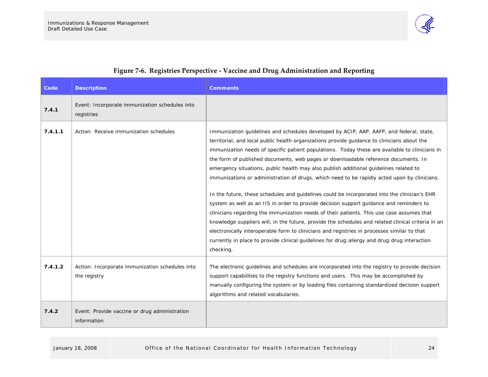<span id="page-26-0"></span>

## **Figure <sup>7</sup>‐6. Registries Perspective ‐ Vaccine and Drug Administration and Reporting**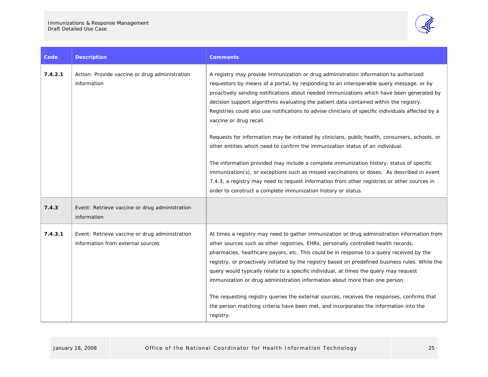

| Code    | <b>Description</b>                                                                  | <b>Comments</b>                                                                                                                                                                                                                                                                                                                                                                                                                                                                                                                                                                                                                                                                                                                                                 |
|---------|-------------------------------------------------------------------------------------|-----------------------------------------------------------------------------------------------------------------------------------------------------------------------------------------------------------------------------------------------------------------------------------------------------------------------------------------------------------------------------------------------------------------------------------------------------------------------------------------------------------------------------------------------------------------------------------------------------------------------------------------------------------------------------------------------------------------------------------------------------------------|
| 7.4.2.1 | Action: Provide vaccine or drug administration<br>information                       | A registry may provide immunization or drug administration information to authorized<br>requestors by means of a portal, by responding to an interoperable query message, or by<br>proactively sending notifications about needed immunizations which have been generated by<br>decision support algorithms evaluating the patient data contained within the registry.<br>Registries could also use notifications to advise clinicians of specific individuals affected by a<br>vaccine or drug recall.                                                                                                                                                                                                                                                         |
|         |                                                                                     | Requests for information may be initiated by clinicians, public health, consumers, schools, or<br>other entities which need to confirm the immunization status of an individual.                                                                                                                                                                                                                                                                                                                                                                                                                                                                                                                                                                                |
|         |                                                                                     | The information provided may include a complete immunization history, status of specific<br>immunization(s), or exceptions such as missed vaccinations or doses. As described in event<br>7.4.3, a registry may need to request information from other registries or other sources in<br>order to construct a complete immunization history or status.                                                                                                                                                                                                                                                                                                                                                                                                          |
| 7.4.3   | Event: Retrieve vaccine or drug administration<br>information                       |                                                                                                                                                                                                                                                                                                                                                                                                                                                                                                                                                                                                                                                                                                                                                                 |
| 7.4.3.1 | Event: Retrieve vaccine or drug administration<br>information from external sources | At times a registry may need to gather immunization or drug administration information from<br>other sources such as other registries, EHRs, personally controlled health records,<br>pharmacies, healthcare payors, etc. This could be in response to a query received by the<br>registry, or proactively initiated by the registry based on predefined business rules. While the<br>query would typically relate to a specific individual, at times the query may request<br>immunization or drug administration information about more than one person.<br>The requesting registry queries the external sources, receives the responses, confirms that<br>the person matching criteria have been met, and incorporates the information into the<br>registry. |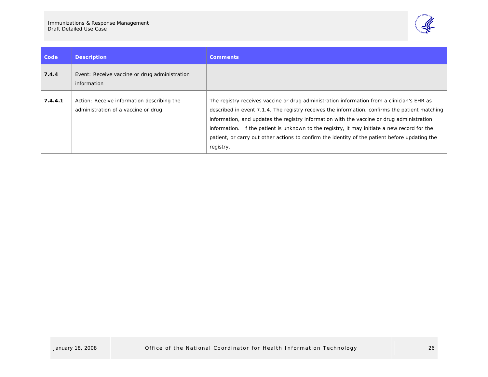

| Code    | <b>Description</b>                                                                | <b>Comments</b>                                                                                                                                                                                                                                                                                                                                                                                                                                                                                          |
|---------|-----------------------------------------------------------------------------------|----------------------------------------------------------------------------------------------------------------------------------------------------------------------------------------------------------------------------------------------------------------------------------------------------------------------------------------------------------------------------------------------------------------------------------------------------------------------------------------------------------|
| 7.4.4   | Event: Receive vaccine or drug administration<br>information                      |                                                                                                                                                                                                                                                                                                                                                                                                                                                                                                          |
| 7.4.4.1 | Action: Receive information describing the<br>administration of a vaccine or drug | The registry receives vaccine or drug administration information from a clinician's EHR as<br>described in event 7.1.4. The registry receives the information, confirms the patient matching<br>information, and updates the registry information with the vaccine or drug administration<br>information. If the patient is unknown to the registry, it may initiate a new record for the<br>patient, or carry out other actions to confirm the identity of the patient before updating the<br>registry. |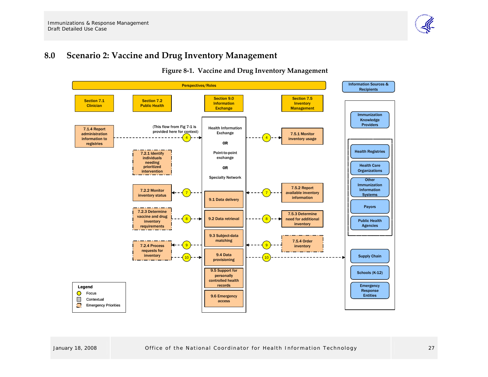#### **8.0Scenario 2: Vaccine and Drug Inventory Management**

**Figure <sup>8</sup>‐1. Vaccine and Drug Inventory Management**

<span id="page-29-0"></span>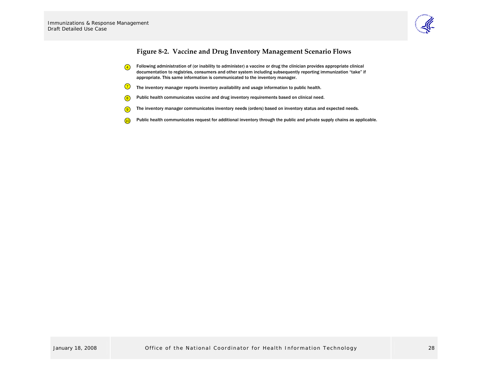

## **Figure <sup>8</sup>‐2. Vaccine and Drug Inventory Management Scenario Flows**

- 4 Following administration of (or inability to administer) a vaccine or drug the clinician provides appropriate clinical documentation to registries, consumers and other system including subsequently reporting immunization "take" if appropriate. This same information is communicated to the inventory manager.
- 7 The inventory manager reports inventory availability and usage information to public health.
- 8 Public health communicates vaccine and drug inventory requirements based on clinical need.
- 9 The inventory manager communicates inventory needs (orders) based on inventory status and expected needs.
- <span id="page-30-0"></span>10 Public health communicates request for additional inventory through the public and private supply chains as applicable.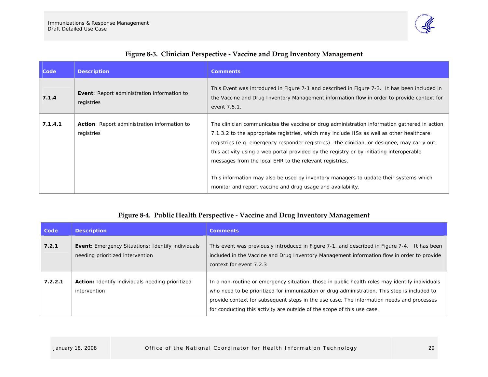

|  |  | Figure 8-3. Clinician Perspective - Vaccine and Drug Inventory Management |
|--|--|---------------------------------------------------------------------------|

| Code    | <b>Description</b>                                               | <b>Comments</b>                                                                                                                                                                                                                                                                                                                                                                                                                                                                                                                                                                                         |
|---------|------------------------------------------------------------------|---------------------------------------------------------------------------------------------------------------------------------------------------------------------------------------------------------------------------------------------------------------------------------------------------------------------------------------------------------------------------------------------------------------------------------------------------------------------------------------------------------------------------------------------------------------------------------------------------------|
| 7.1.4   | <b>Event:</b> Report administration information to<br>registries | This Event was introduced in Figure 7-1 and described in Figure 7-3. It has been included in<br>the Vaccine and Drug Inventory Management information flow in order to provide context for<br>event 7.5.1.                                                                                                                                                                                                                                                                                                                                                                                              |
| 7.1.4.1 | Action: Report administration information to<br>registries       | The clinician communicates the vaccine or drug administration information gathered in action<br>7.1.3.2 to the appropriate registries, which may include IISs as well as other healthcare<br>registries (e.g. emergency responder registries). The clinician, or designee, may carry out<br>this activity using a web portal provided by the registry or by initiating interoperable<br>messages from the local EHR to the relevant registries.<br>This information may also be used by inventory managers to update their systems which<br>monitor and report vaccine and drug usage and availability. |

## **Figure <sup>8</sup>‐4. Public Health Perspective ‐ Vaccine and Drug Inventory Management**

<span id="page-31-0"></span>

| Code    | <b>Description</b>                                                                           | <b>Comments</b>                                                                                                                                                                                                                                                                                                                                                        |
|---------|----------------------------------------------------------------------------------------------|------------------------------------------------------------------------------------------------------------------------------------------------------------------------------------------------------------------------------------------------------------------------------------------------------------------------------------------------------------------------|
| 7.2.1   | <b>Event:</b> Emergency Situations: Identify individuals<br>needing prioritized intervention | This event was previously introduced in Figure 7-1, and described in Figure 7-4. It has been<br>included in the Vaccine and Drug Inventory Management information flow in order to provide<br>context for event 7.2.3                                                                                                                                                  |
| 7.2.2.1 | Action: Identify individuals needing prioritized<br>intervention                             | In a non-routine or emergency situation, those in public health roles may identify individuals<br>who need to be prioritized for immunization or drug administration. This step is included to<br>provide context for subsequent steps in the use case. The information needs and processes<br>for conducting this activity are outside of the scope of this use case. |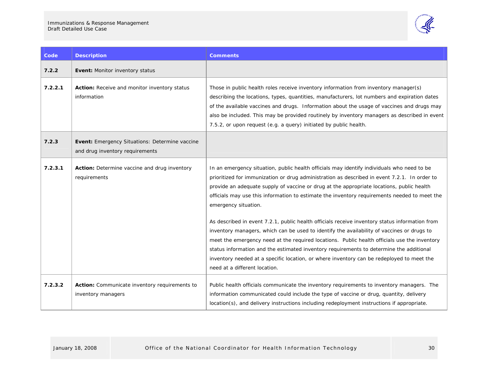J.



| Code    | <b>Description</b>                                                                       | <b>Comments</b>                                                                                                                                                                                                                                                                                                                                                                                                                                                                                                                                                                                                                                                                                                                                                                                                                                                                                                                          |  |
|---------|------------------------------------------------------------------------------------------|------------------------------------------------------------------------------------------------------------------------------------------------------------------------------------------------------------------------------------------------------------------------------------------------------------------------------------------------------------------------------------------------------------------------------------------------------------------------------------------------------------------------------------------------------------------------------------------------------------------------------------------------------------------------------------------------------------------------------------------------------------------------------------------------------------------------------------------------------------------------------------------------------------------------------------------|--|
| 7.2.2   | Event: Monitor inventory status                                                          |                                                                                                                                                                                                                                                                                                                                                                                                                                                                                                                                                                                                                                                                                                                                                                                                                                                                                                                                          |  |
| 7.2.2.1 | Action: Receive and monitor inventory status<br>information                              | Those in public health roles receive inventory information from inventory manager(s)<br>describing the locations, types, quantities, manufacturers, lot numbers and expiration dates<br>of the available vaccines and drugs. Information about the usage of vaccines and drugs may<br>also be included. This may be provided routinely by inventory managers as described in event<br>7.5.2, or upon request (e.g. a query) initiated by public health.                                                                                                                                                                                                                                                                                                                                                                                                                                                                                  |  |
| 7.2.3   | <b>Event:</b> Emergency Situations: Determine vaccine<br>and drug inventory requirements |                                                                                                                                                                                                                                                                                                                                                                                                                                                                                                                                                                                                                                                                                                                                                                                                                                                                                                                                          |  |
| 7.2.3.1 | Action: Determine vaccine and drug inventory<br>requirements                             | In an emergency situation, public health officials may identify individuals who need to be<br>prioritized for immunization or drug administration as described in event 7.2.1. In order to<br>provide an adequate supply of vaccine or drug at the appropriate locations, public health<br>officials may use this information to estimate the inventory requirements needed to meet the<br>emergency situation.<br>As described in event 7.2.1, public health officials receive inventory status information from<br>inventory managers, which can be used to identify the availability of vaccines or drugs to<br>meet the emergency need at the required locations. Public health officials use the inventory<br>status information and the estimated inventory requirements to determine the additional<br>inventory needed at a specific location, or where inventory can be redeployed to meet the<br>need at a different location. |  |
| 7.2.3.2 | Action: Communicate inventory requirements to<br>inventory managers                      | Public health officials communicate the inventory requirements to inventory managers. The<br>information communicated could include the type of vaccine or drug, quantity, delivery<br>location(s), and delivery instructions including redeployment instructions if appropriate.                                                                                                                                                                                                                                                                                                                                                                                                                                                                                                                                                                                                                                                        |  |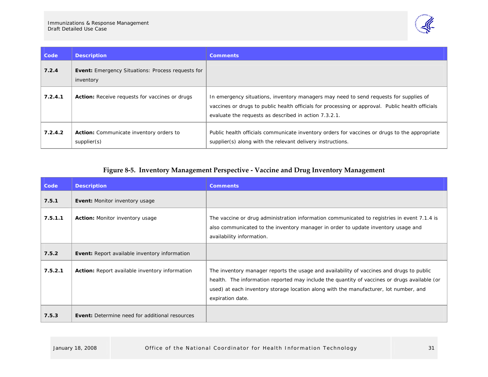

| Code    | <b>Description</b>                                                    | <b>Comments</b>                                                                                                                                                                                                                                    |
|---------|-----------------------------------------------------------------------|----------------------------------------------------------------------------------------------------------------------------------------------------------------------------------------------------------------------------------------------------|
| 7.2.4   | <b>Event:</b> Emergency Situations: Process requests for<br>inventory |                                                                                                                                                                                                                                                    |
| 7.2.4.1 | <b>Action:</b> Receive requests for vaccines or drugs                 | In emergency situations, inventory managers may need to send requests for supplies of<br>vaccines or drugs to public health officials for processing or approval. Public health officials<br>evaluate the requests as described in action 7.3.2.1. |
| 7.2.4.2 | <b>Action:</b> Communicate inventory orders to<br>supplier(s)         | Public health officials communicate inventory orders for vaccines or drugs to the appropriate<br>supplier(s) along with the relevant delivery instructions.                                                                                        |

## **Figure <sup>8</sup>‐5. Inventory Management Perspective ‐ Vaccine and Drug Inventory Management**

<span id="page-33-0"></span>

| Code    | <b>Description</b>                                    | <b>Comments</b>                                                                                                                                                                                                                                                                                       |
|---------|-------------------------------------------------------|-------------------------------------------------------------------------------------------------------------------------------------------------------------------------------------------------------------------------------------------------------------------------------------------------------|
| 7.5.1   | <b>Event: Monitor inventory usage</b>                 |                                                                                                                                                                                                                                                                                                       |
| 7.5.1.1 | Action: Monitor inventory usage                       | The vaccine or drug administration information communicated to registries in event 7.1.4 is<br>also communicated to the inventory manager in order to update inventory usage and<br>availability information.                                                                                         |
| 7.5.2   | <b>Event:</b> Report available inventory information  |                                                                                                                                                                                                                                                                                                       |
| 7.5.2.1 | <b>Action:</b> Report available inventory information | The inventory manager reports the usage and availability of vaccines and drugs to public<br>health. The information reported may include the quantity of vaccines or drugs available (or<br>used) at each inventory storage location along with the manufacturer, lot number, and<br>expiration date. |
| 7.5.3   | <b>Event:</b> Determine need for additional resources |                                                                                                                                                                                                                                                                                                       |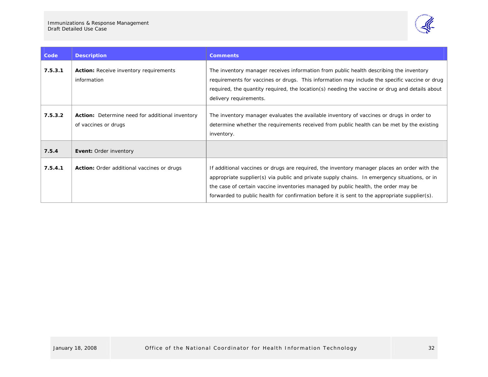

| Code    | <b>Description</b>                                                             | <b>Comments</b>                                                                                                                                                                                                                                                                                                                                                                     |
|---------|--------------------------------------------------------------------------------|-------------------------------------------------------------------------------------------------------------------------------------------------------------------------------------------------------------------------------------------------------------------------------------------------------------------------------------------------------------------------------------|
| 7.5.3.1 | <b>Action:</b> Receive inventory requirements<br>information                   | The inventory manager receives information from public health describing the inventory<br>requirements for vaccines or drugs. This information may include the specific vaccine or drug<br>required, the quantity required, the location(s) needing the vaccine or drug and details about<br>delivery requirements.                                                                 |
| 7.5.3.2 | <b>Action:</b> Determine need for additional inventory<br>of vaccines or drugs | The inventory manager evaluates the available inventory of vaccines or drugs in order to<br>determine whether the requirements received from public health can be met by the existing<br>inventory.                                                                                                                                                                                 |
| 7.5.4   | <b>Event: Order inventory</b>                                                  |                                                                                                                                                                                                                                                                                                                                                                                     |
| 7.5.4.1 | <b>Action:</b> Order additional vaccines or drugs                              | If additional vaccines or drugs are required, the inventory manager places an order with the<br>appropriate supplier(s) via public and private supply chains. In emergency situations, or in<br>the case of certain vaccine inventories managed by public health, the order may be<br>forwarded to public health for confirmation before it is sent to the appropriate supplier(s). |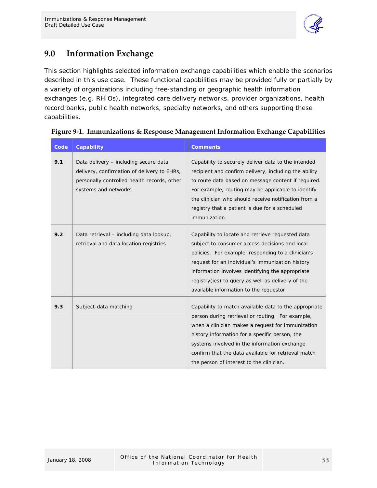

## <span id="page-35-0"></span>**9.0 Information Exchange**

This section highlights selected information exchange capabilities which enable the scenarios described in this use case. These functional capabilities may be provided fully or partially by a variety of organizations including free-standing or geographic health information exchanges (e.g. RHIOs), integrated care delivery networks, provider organizations, health record banks, public health networks, specialty networks, and others supporting these capabilities.

| Code | <b>Capability</b>                                                                                                                                           | <b>Comments</b>                                                                                                                                                                                                                                                                                                                                                     |
|------|-------------------------------------------------------------------------------------------------------------------------------------------------------------|---------------------------------------------------------------------------------------------------------------------------------------------------------------------------------------------------------------------------------------------------------------------------------------------------------------------------------------------------------------------|
| 9.1  | Data delivery - including secure data<br>delivery, confirmation of delivery to EHRs,<br>personally controlled health records, other<br>systems and networks | Capability to securely deliver data to the intended<br>recipient and confirm delivery, including the ability<br>to route data based on message content if required.<br>For example, routing may be applicable to identify<br>the clinician who should receive notification from a<br>registry that a patient is due for a scheduled<br>immunization.                |
| 9.2  | Data retrieval - including data lookup,<br>retrieval and data location registries                                                                           | Capability to locate and retrieve requested data<br>subject to consumer access decisions and local<br>policies. For example, responding to a clinician's<br>request for an individual's immunization history<br>information involves identifying the appropriate<br>registry(ies) to query as well as delivery of the<br>available information to the requestor.    |
| 9.3  | Subject-data matching                                                                                                                                       | Capability to match available data to the appropriate<br>person during retrieval or routing. For example,<br>when a clinician makes a request for immunization<br>history information for a specific person, the<br>systems involved in the information exchange<br>confirm that the data available for retrieval match<br>the person of interest to the clinician. |

| Figure 9-1. Immunizations & Response Management Information Exchange Capabilities |  |  |  |
|-----------------------------------------------------------------------------------|--|--|--|
|                                                                                   |  |  |  |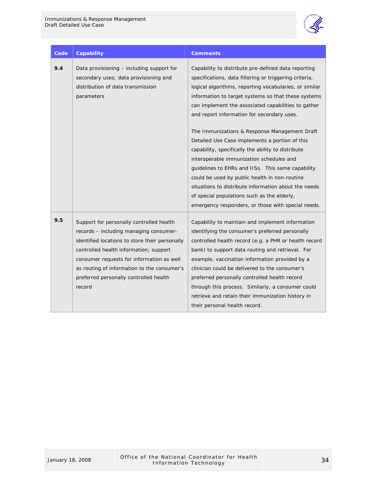

| Code | <b>Capability</b>                                                                                                                                                                                                                                                                                                              | <b>Comments</b>                                                                                                                                                                                                                                                                                                                                                                                                                                                                                                                                                                                                                                                                                                                                                                                             |
|------|--------------------------------------------------------------------------------------------------------------------------------------------------------------------------------------------------------------------------------------------------------------------------------------------------------------------------------|-------------------------------------------------------------------------------------------------------------------------------------------------------------------------------------------------------------------------------------------------------------------------------------------------------------------------------------------------------------------------------------------------------------------------------------------------------------------------------------------------------------------------------------------------------------------------------------------------------------------------------------------------------------------------------------------------------------------------------------------------------------------------------------------------------------|
| 9.4  | Data provisioning - including support for<br>secondary uses; data provisioning and<br>distribution of data transmission<br>parameters                                                                                                                                                                                          | Capability to distribute pre-defined data reporting<br>specifications, data filtering or triggering criteria,<br>logical algorithms, reporting vocabularies, or similar<br>information to target systems so that these systems<br>can implement the associated capabilities to gather<br>and report information for secondary uses.<br>The Immunizations & Response Management Draft<br>Detailed Use Case implements a portion of this<br>capability, specifically the ability to distribute<br>interoperable immunization schedules and<br>guidelines to EHRs and IISs. This same capability<br>could be used by public health in non-routine<br>situations to distribute information about the needs<br>of special populations such as the elderly,<br>emergency responders, or those with special needs. |
| 9.5  | Support for personally controlled health<br>records - including managing consumer-<br>identified locations to store their personally<br>controlled health information; support<br>consumer requests for information as well<br>as routing of information to the consumer's<br>preferred personally controlled health<br>record | Capability to maintain and implement information<br>identifying the consumer's preferred personally<br>controlled health record (e.g. a PHR or health record<br>bank) to support data routing and retrieval. For<br>example, vaccination information provided by a<br>clinician could be delivered to the consumer's<br>preferred personally controlled health record<br>through this process. Similarly, a consumer could<br>retrieve and retain their immunization history in<br>their personal health record.                                                                                                                                                                                                                                                                                            |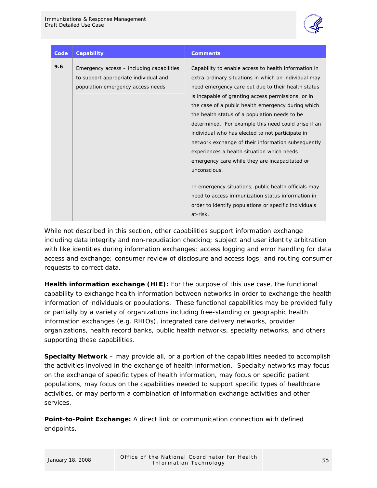

| Code | <b>Capability</b>                         | <b>Comments</b>                                       |
|------|-------------------------------------------|-------------------------------------------------------|
| 9.6  |                                           |                                                       |
|      | Emergency access – including capabilities | Capability to enable access to health information in  |
|      | to support appropriate individual and     | extra-ordinary situations in which an individual may  |
|      | population emergency access needs         | need emergency care but due to their health status    |
|      |                                           | is incapable of granting access permissions, or in    |
|      |                                           | the case of a public health emergency during which    |
|      |                                           | the health status of a population needs to be         |
|      |                                           | determined. For example this need could arise if an   |
|      |                                           | individual who has elected to not participate in      |
|      |                                           | network exchange of their information subsequently    |
|      |                                           | experiences a health situation which needs            |
|      |                                           | emergency care while they are incapacitated or        |
|      |                                           | unconscious.                                          |
|      |                                           |                                                       |
|      |                                           | In emergency situations, public health officials may  |
|      |                                           | need to access immunization status information in     |
|      |                                           | order to identify populations or specific individuals |
|      |                                           | at-risk.                                              |

While not described in this section, other capabilities support information exchange including data integrity and non-repudiation checking; subject and user identity arbitration with like identities during information exchanges; access logging and error handling for data access and exchange; consumer review of disclosure and access logs; and routing consumer requests to correct data.

**Health information exchange (HIE):** For the purpose of this use case, the functional capability to exchange health information between networks in order to exchange the health information of individuals or populations. These functional capabilities may be provided fully or partially by a variety of organizations including free-standing or geographic health information exchanges (e.g. RHIOs), integrated care delivery networks, provider organizations, health record banks, public health networks, specialty networks, and others supporting these capabilities.

**Specialty Network –** may provide all, or a portion of the capabilities needed to accomplish the activities involved in the exchange of health information. Specialty networks may focus on the exchange of specific types of health information, may focus on specific patient populations, may focus on the capabilities needed to support specific types of healthcare activities, or may perform a combination of information exchange activities and other services.

**Point-to-Point Exchange:** A direct link or communication connection with defined endpoints.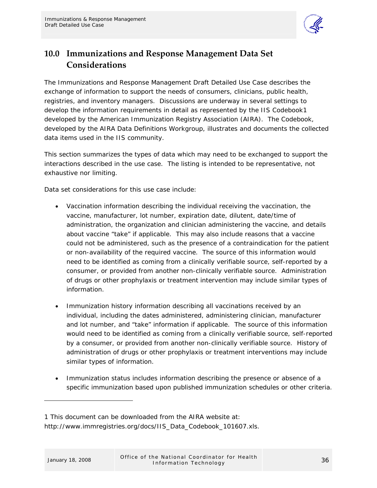

## <span id="page-38-0"></span>**10.0 Immunizations and Response Management Data Set Considerations**

The Immunizations and Response Management Draft Detailed Use Case describes the exchange of information to support the needs of consumers, clinicians, public health, registries, and inventory managers. Discussions are underway in several settings to develop the information requirements in detail as represented by the *IIS Codeboo[k1](#page-38-0)* developed by the American Immunization Registry Association (AIRA). The Codebook, developed by the AIRA Data Definitions Workgroup, illustrates and documents the collected data items used in the IIS community.

This section summarizes the types of data which may need to be exchanged to support the interactions described in the use case. The listing is intended to be representative, not exhaustive nor limiting.

Data set considerations for this use case include:

- Vaccination information describing the individual receiving the vaccination, the vaccine, manufacturer, lot number, expiration date, dilutent, date/time of administration, the organization and clinician administering the vaccine, and details about vaccine "take" if applicable. This may also include reasons that a vaccine could not be administered, such as the presence of a contraindication for the patient or non-availability of the required vaccine. The source of this information would need to be identified as coming from a clinically verifiable source, self-reported by a consumer, or provided from another non-clinically verifiable source. Administration of drugs or other prophylaxis or treatment intervention may include similar types of information.
- Immunization history information describing all vaccinations received by an individual, including the dates administered, administering clinician, manufacturer and lot number, and "take" information if applicable. The source of this information would need to be identified as coming from a clinically verifiable source, self-reported by a consumer, or provided from another non-clinically verifiable source. History of administration of drugs or other prophylaxis or treatment interventions may include similar types of information.
- Immunization status includes information describing the presence or absence of a specific immunization based upon published immunization schedules or other criteria.

-

<sup>1</sup> This document can be downloaded from the AIRA website at: http://www.immregistries.org/docs/IIS\_Data\_Codebook\_101607.xls.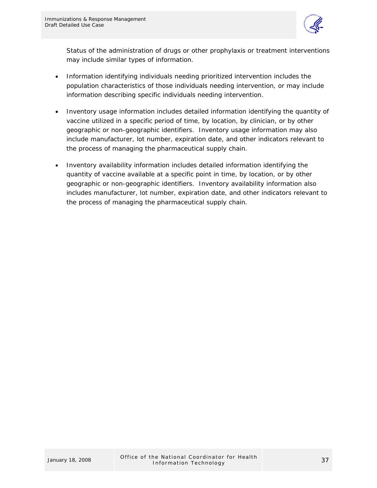

Status of the administration of drugs or other prophylaxis or treatment interventions may include similar types of information.

- Information identifying individuals needing prioritized intervention includes the population characteristics of those individuals needing intervention, or may include information describing specific individuals needing intervention.
- Inventory usage information includes detailed information identifying the quantity of vaccine utilized in a specific period of time, by location, by clinician, or by other geographic or non-geographic identifiers. Inventory usage information may also include manufacturer, lot number, expiration date, and other indicators relevant to the process of managing the pharmaceutical supply chain.
- Inventory availability information includes detailed information identifying the quantity of vaccine available at a specific point in time, by location, or by other geographic or non-geographic identifiers. Inventory availability information also includes manufacturer, lot number, expiration date, and other indicators relevant to the process of managing the pharmaceutical supply chain.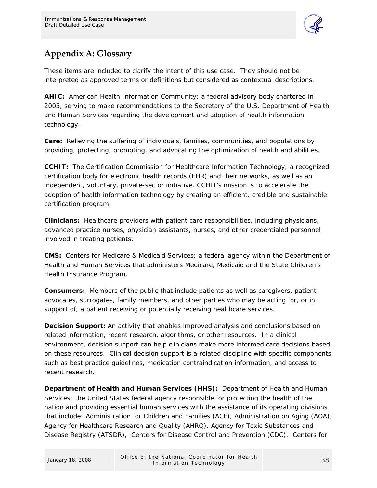

## <span id="page-40-0"></span>**Appendix A: Glossary**

These items are included to clarify the intent of this use case. They should not be interpreted as approved terms or definitions but considered as contextual descriptions.

**AHIC:** American Health Information Community; a federal advisory body chartered in 2005, serving to make recommendations to the Secretary of the U.S. Department of Health and Human Services regarding the development and adoption of health information technology.

**Care:** Relieving the suffering of individuals, families, communities, and populations by providing, protecting, promoting, and advocating the optimization of health and abilities.

**CCHIT:** The Certification Commission for Healthcare Information Technology; a recognized certification body for electronic health records (EHR) and their networks, as well as an independent, voluntary, private-sector initiative. CCHIT's mission is to accelerate the adoption of health information technology by creating an efficient, credible and sustainable certification program.

**Clinicians:** Healthcare providers with patient care responsibilities, including physicians, advanced practice nurses, physician assistants, nurses, and other credentialed personnel involved in treating patients.

**CMS:** Centers for Medicare & Medicaid Services; a federal agency within the Department of Health and Human Services that administers Medicare, Medicaid and the State Children's Health Insurance Program.

**Consumers:** Members of the public that include patients as well as caregivers, patient advocates, surrogates, family members, and other parties who may be acting for, or in support of, a patient receiving or potentially receiving healthcare services.

**Decision Support:** An activity that enables improved analysis and conclusions based on related information, recent research, algorithms, or other resources. In a clinical environment, decision support can help clinicians make more informed care decisions based on these resources. Clinical decision support is a related discipline with specific components such as best practice guidelines, medication contraindication information, and access to recent research.

**Department of Health and Human Services (HHS):** Department of Health and Human Services; the United States federal agency responsible for protecting the health of the nation and providing essential human services with the assistance of its operating divisions that include: Administration for Children and Families (ACF), Administration on Aging (AOA), Agency for Healthcare Research and Quality (AHRQ), Agency for Toxic Substances and Disease Registry (ATSDR), Centers for Disease Control and Prevention (CDC), Centers for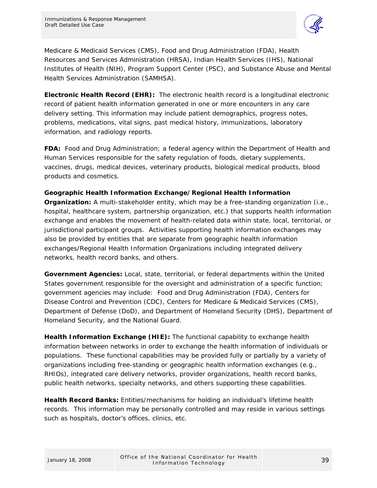

Medicare & Medicaid Services (CMS), Food and Drug Administration (FDA), Health Resources and Services Administration (HRSA), Indian Health Services (IHS), National Institutes of Health (NIH), Program Support Center (PSC), and Substance Abuse and Mental Health Services Administration (SAMHSA).

**Electronic Health Record (EHR):** The electronic health record is a longitudinal electronic record of patient health information generated in one or more encounters in any care delivery setting. This information may include patient demographics, progress notes, problems, medications, vital signs, past medical history, immunizations, laboratory information, and radiology reports.

**FDA:** Food and Drug Administration; a federal agency within the Department of Health and Human Services responsible for the safety regulation of foods, dietary supplements, vaccines, drugs, medical devices, veterinary products, biological medical products, blood products and cosmetics.

#### **Geographic Health Information Exchange/Regional Health Information**

**Organization:** A multi-stakeholder entity, which may be a free-standing organization (i.e., hospital, healthcare system, partnership organization, etc.) that supports health information exchange and enables the movement of health-related data within state, local, territorial, or jurisdictional participant groups. Activities supporting health information exchanges may also be provided by entities that are separate from geographic health information exchanges/Regional Health Information Organizations including integrated delivery networks, health record banks, and others.

**Government Agencies:** Local, state, territorial, or federal departments within the United States government responsible for the oversight and administration of a specific function; government agencies may include: Food and Drug Administration (FDA), Centers for Disease Control and Prevention (CDC), Centers for Medicare & Medicaid Services (CMS), Department of Defense (DoD), and Department of Homeland Security (DHS), Department of Homeland Security, and the National Guard.

**Health Information Exchange (HIE):** The functional capability to exchange health information between networks in order to exchange the health information of individuals or populations. These functional capabilities may be provided fully or partially by a variety of organizations including free-standing or geographic health information exchanges (e.g., RHIOs), integrated care delivery networks, provider organizations, health record banks, public health networks, specialty networks, and others supporting these capabilities.

**Health Record Banks:** Entities/mechanisms for holding an individual's lifetime health records. This information may be personally controlled and may reside in various settings such as hospitals, doctor's offices, clinics, etc.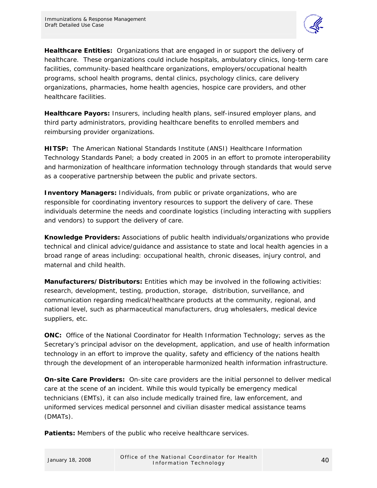

**Healthcare Entities:** Organizations that are engaged in or support the delivery of healthcare. These organizations could include hospitals, ambulatory clinics, long-term care facilities, community-based healthcare organizations, employers/occupational health programs, school health programs, dental clinics, psychology clinics, care delivery organizations, pharmacies, home health agencies, hospice care providers, and other healthcare facilities.

**Healthcare Payors:** Insurers, including health plans, self-insured employer plans, and third party administrators, providing healthcare benefits to enrolled members and reimbursing provider organizations.

**HITSP:** The American National Standards Institute (ANSI) Healthcare Information Technology Standards Panel; a body created in 2005 in an effort to promote interoperability and harmonization of healthcare information technology through standards that would serve as a cooperative partnership between the public and private sectors.

**Inventory Managers:** Individuals, from public or private organizations, who are responsible for coordinating inventory resources to support the delivery of care. These individuals determine the needs and coordinate logistics (including interacting with suppliers and vendors) to support the delivery of care.

**Knowledge Providers:** Associations of public health individuals/organizations who provide technical and clinical advice/guidance and assistance to state and local health agencies in a broad range of areas including: occupational health, chronic diseases, injury control, and maternal and child health.

**Manufacturers/Distributors:** Entities which may be involved in the following activities: research, development, testing, production, storage, distribution, surveillance, and communication regarding medical/healthcare products at the community, regional, and national level, such as pharmaceutical manufacturers, drug wholesalers, medical device suppliers, etc.

**ONC:** Office of the National Coordinator for Health Information Technology; serves as the Secretary's principal advisor on the development, application, and use of health information technology in an effort to improve the quality, safety and efficiency of the nations health through the development of an interoperable harmonized health information infrastructure.

**On-site Care Providers:** On-site care providers are the initial personnel to deliver medical care at the scene of an incident. While this would typically be emergency medical technicians (EMTs), it can also include medically trained fire, law enforcement, and uniformed services medical personnel and civilian disaster medical assistance teams (DMATs).

**Patients:** Members of the public who receive healthcare services.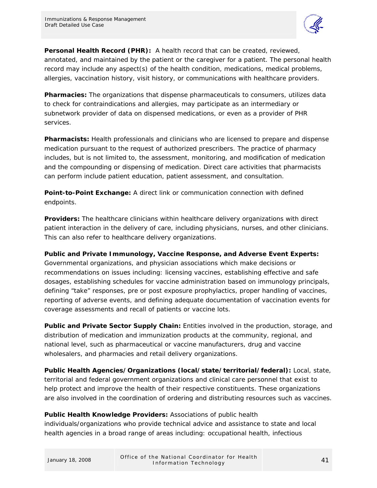

**Personal Health Record (PHR):** A health record that can be created, reviewed, annotated, and maintained by the patient or the caregiver for a patient. The personal health record may include any aspect(s) of the health condition, medications, medical problems, allergies, vaccination history, visit history, or communications with healthcare providers.

**Pharmacies:** The organizations that dispense pharmaceuticals to consumers, utilizes data to check for contraindications and allergies, may participate as an intermediary or subnetwork provider of data on dispensed medications, or even as a provider of PHR services.

**Pharmacists:** Health professionals and clinicians who are licensed to prepare and dispense medication pursuant to the request of authorized prescribers. The practice of pharmacy includes, but is not limited to, the assessment, monitoring, and modification of medication and the compounding or dispensing of medication. Direct care activities that pharmacists can perform include patient education, patient assessment, and consultation.

**Point-to-Point Exchange:** A direct link or communication connection with defined endpoints.

**Providers:** The healthcare clinicians within healthcare delivery organizations with direct patient interaction in the delivery of care, including physicians, nurses, and other clinicians. This can also refer to healthcare delivery organizations.

**Public and Private Immunology, Vaccine Response, and Adverse Event Experts:** 

Governmental organizations, and physician associations which make decisions or recommendations on issues including: licensing vaccines, establishing effective and safe dosages, establishing schedules for vaccine administration based on immunology principals, defining "take" responses, pre or post exposure prophylactics, proper handling of vaccines, reporting of adverse events, and defining adequate documentation of vaccination events for coverage assessments and recall of patients or vaccine lots.

**Public and Private Sector Supply Chain:** Entities involved in the production, storage, and distribution of medication and immunization products at the community, regional, and national level, such as pharmaceutical or vaccine manufacturers, drug and vaccine wholesalers, and pharmacies and retail delivery organizations.

**Public Health Agencies/Organizations (local/state/territorial/federal):** Local, state, territorial and federal government organizations and clinical care personnel that exist to help protect and improve the health of their respective constituents. These organizations are also involved in the coordination of ordering and distributing resources such as vaccines.

## **Public Health Knowledge Providers:** Associations of public health

individuals/organizations who provide technical advice and assistance to state and local health agencies in a broad range of areas including: occupational health, infectious